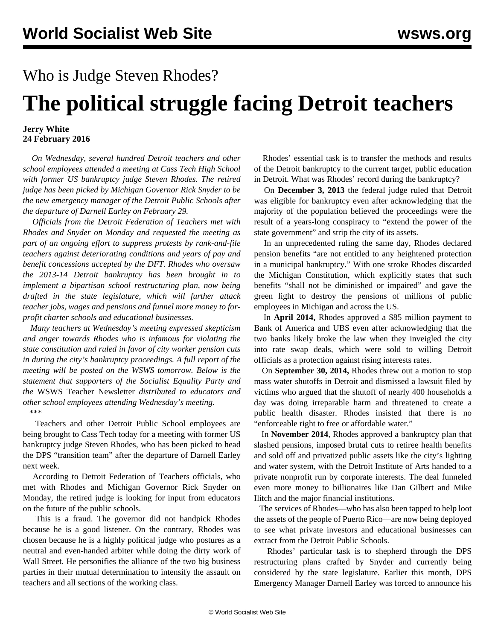## Who is Judge Steven Rhodes?

## **The political struggle facing Detroit teachers**

## **Jerry White 24 February 2016**

 *On Wednesday, several hundred Detroit teachers and other school employees attended a meeting at Cass Tech High School with former US bankruptcy judge Steven Rhodes. The retired judge has been picked by Michigan Governor Rick Snyder to be the new emergency manager of the Detroit Public Schools after the departure of Darnell Earley on February 29.* 

 *Officials from the Detroit Federation of Teachers met with Rhodes and Snyder on Monday and requested the meeting as part of an ongoing effort to suppress protests by rank-and-file teachers against deteriorating conditions and years of pay and benefit concessions accepted by the DFT. Rhodes who oversaw the 2013-14 Detroit bankruptcy has been brought in to implement a bipartisan school restructuring plan, now being drafted in the state legislature, which will further attack teacher jobs, wages and pensions and funnel more money to forprofit charter schools and educational businesses.* 

 *Many teachers at Wednesday's meeting expressed skepticism and anger towards Rhodes who is infamous for violating the state constitution and ruled in favor of city worker pension cuts in during the city's bankruptcy proceedings. A full report of the meeting will be posted on the WSWS tomorrow. Below is the statement that supporters of the Socialist Equality Party and the* WSWS Teacher Newsletter *distributed to educators and other school employees attending Wednesday's meeting.* \*\*\*

 Teachers and other Detroit Public School employees are being brought to Cass Tech today for a meeting with former US bankruptcy judge Steven Rhodes, who has been picked to head the DPS "transition team" after the departure of Darnell Earley next week.

 According to Detroit Federation of Teachers officials, who met with Rhodes and Michigan Governor Rick Snyder on Monday, the retired judge is looking for input from educators on the future of the public schools.

 This is a fraud. The governor did not handpick Rhodes because he is a good listener. On the contrary, Rhodes was chosen because he is a highly political judge who postures as a neutral and even-handed arbiter while doing the dirty work of Wall Street. He personifies the alliance of the two big business parties in their mutual determination to intensify the assault on teachers and all sections of the working class.

 Rhodes' essential task is to transfer the methods and results of the Detroit bankruptcy to the current target, public education in Detroit. What was Rhodes' record during the bankruptcy?

 On **December 3, 2013** the federal judge ruled that Detroit was eligible for bankruptcy even after acknowledging that the majority of the population believed the proceedings were the result of a years-long conspiracy to "extend the power of the state government" and strip the city of its assets.

 In an unprecedented ruling the same day, Rhodes declared pension benefits "are not entitled to any heightened protection in a municipal bankruptcy." With one stroke Rhodes discarded the Michigan Constitution, which explicitly states that such benefits "shall not be diminished or impaired" and gave the green light to destroy the pensions of millions of public employees in Michigan and across the US.

 In **April 2014,** Rhodes approved a \$85 million payment to Bank of America and UBS even after acknowledging that the two banks likely broke the law when they inveigled the city into rate swap deals, which were sold to willing Detroit officials as a protection against rising interests rates.

 On **September 30, 2014,** Rhodes threw out a motion to stop mass water shutoffs in Detroit and dismissed a lawsuit filed by victims who argued that the shutoff of nearly 400 households a day was doing irreparable harm and threatened to create a public health disaster. Rhodes insisted that there is no "enforceable right to free or affordable water."

 In **November 2014**, Rhodes approved a bankruptcy plan that slashed pensions, imposed brutal cuts to retiree health benefits and sold off and privatized public assets like the city's lighting and water system, with the Detroit Institute of Arts handed to a private nonprofit run by corporate interests. The deal funneled even more money to billionaires like Dan Gilbert and Mike Ilitch and the major financial institutions.

 The services of Rhodes—who has also been tapped to help loot the assets of the people of Puerto Rico—are now being deployed to see what private investors and educational businesses can extract from the Detroit Public Schools.

 Rhodes' particular task is to shepherd through the DPS restructuring plans crafted by Snyder and currently being considered by the state legislature. Earlier this month, DPS Emergency Manager Darnell Earley was forced to announce his